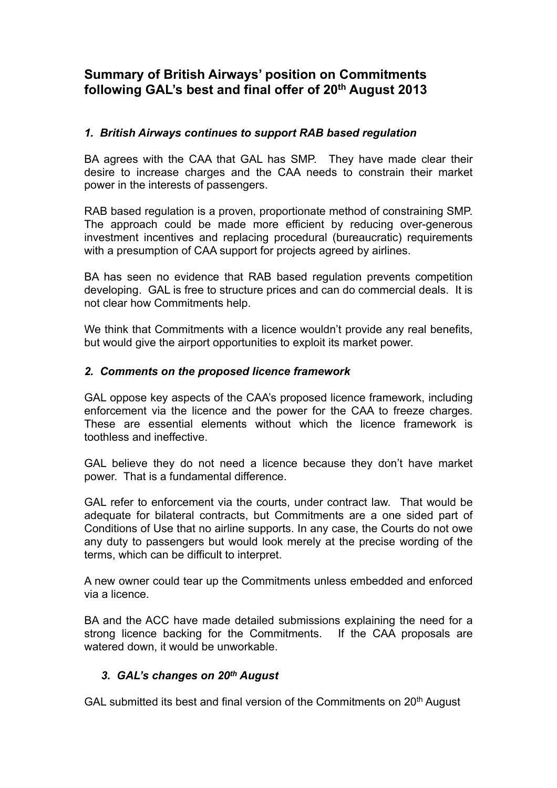# **Summary of British Airways' position on Commitments following GAL's best and final offer of 20th August 2013**

### *1. British Airways continues to support RAB based regulation*

BA agrees with the CAA that GAL has SMP. They have made clear their desire to increase charges and the CAA needs to constrain their market power in the interests of passengers.

RAB based regulation is a proven, proportionate method of constraining SMP. The approach could be made more efficient by reducing over-generous investment incentives and replacing procedural (bureaucratic) requirements with a presumption of CAA support for projects agreed by airlines.

BA has seen no evidence that RAB based regulation prevents competition developing. GAL is free to structure prices and can do commercial deals. It is not clear how Commitments help.

We think that Commitments with a licence wouldn't provide any real benefits, but would give the airport opportunities to exploit its market power.

## *2. Comments on the proposed licence framework*

GAL oppose key aspects of the CAA's proposed licence framework, including enforcement via the licence and the power for the CAA to freeze charges. These are essential elements without which the licence framework is toothless and ineffective.

GAL believe they do not need a licence because they don't have market power. That is a fundamental difference.

GAL refer to enforcement via the courts, under contract law. That would be adequate for bilateral contracts, but Commitments are a one sided part of Conditions of Use that no airline supports. In any case, the Courts do not owe any duty to passengers but would look merely at the precise wording of the terms, which can be difficult to interpret.

A new owner could tear up the Commitments unless embedded and enforced via a licence.

BA and the ACC have made detailed submissions explaining the need for a strong licence backing for the Commitments. If the CAA proposals are watered down, it would be unworkable.

# *3. GAL's changes on 20th August*

GAL submitted its best and final version of the Commitments on 20<sup>th</sup> August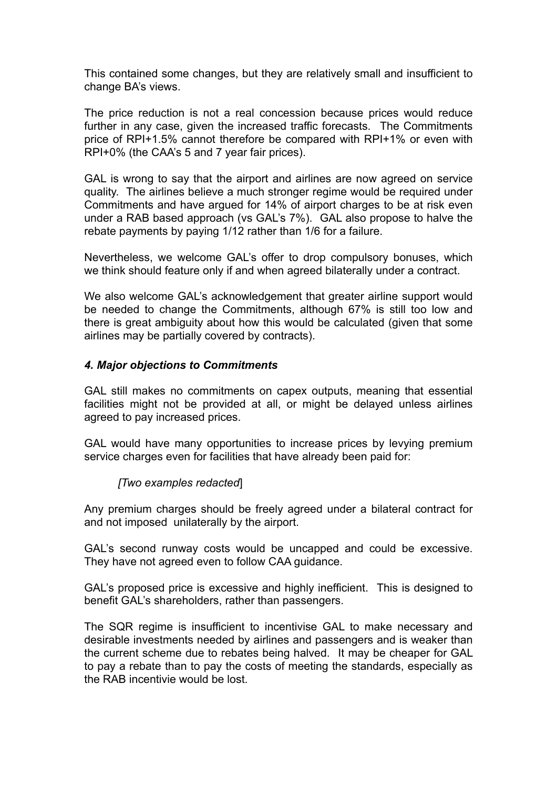This contained some changes, but they are relatively small and insufficient to change BA's views.

The price reduction is not a real concession because prices would reduce further in any case, given the increased traffic forecasts. The Commitments price of RPI+1.5% cannot therefore be compared with RPI+1% or even with RPI+0% (the CAA's 5 and 7 year fair prices).

GAL is wrong to say that the airport and airlines are now agreed on service quality. The airlines believe a much stronger regime would be required under Commitments and have argued for 14% of airport charges to be at risk even under a RAB based approach (vs GAL's 7%). GAL also propose to halve the rebate payments by paying 1/12 rather than 1/6 for a failure.

Nevertheless, we welcome GAL's offer to drop compulsory bonuses, which we think should feature only if and when agreed bilaterally under a contract.

We also welcome GAL's acknowledgement that greater airline support would be needed to change the Commitments, although 67% is still too low and there is great ambiguity about how this would be calculated (given that some airlines may be partially covered by contracts).

#### *4. Major objections to Commitments*

GAL still makes no commitments on capex outputs, meaning that essential facilities might not be provided at all, or might be delayed unless airlines agreed to pay increased prices.

GAL would have many opportunities to increase prices by levying premium service charges even for facilities that have already been paid for:

#### *[Two examples redacted*]

Any premium charges should be freely agreed under a bilateral contract for and not imposed unilaterally by the airport.

GAL's second runway costs would be uncapped and could be excessive. They have not agreed even to follow CAA guidance.

GAL's proposed price is excessive and highly inefficient. This is designed to benefit GAL's shareholders, rather than passengers.

The SQR regime is insufficient to incentivise GAL to make necessary and desirable investments needed by airlines and passengers and is weaker than the current scheme due to rebates being halved. It may be cheaper for GAL to pay a rebate than to pay the costs of meeting the standards, especially as the RAB incentivie would be lost.